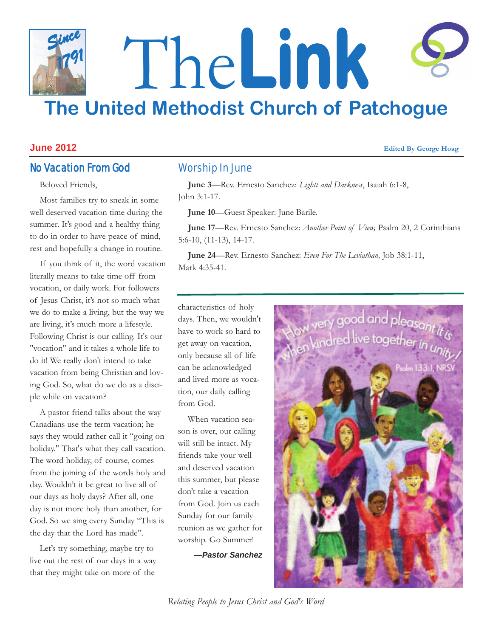# The**Link The United Methodist Church of Patchogue** *Since 1791*

### **June 2012 Edited By George Hoag**

# No Vacation From God

Beloved Friends,

Most families try to sneak in some well deserved vacation time during the summer. It's good and a healthy thing to do in order to have peace of mind, rest and hopefully a change in routine.

If you think of it, the word vacation literally means to take time off from vocation, or daily work. For followers of Jesus Christ, it's not so much what we do to make a living, but the way we are living, it's much more a lifestyle. Following Christ is our calling. It's our "vocation" and it takes a whole life to do it! We really don't intend to take vacation from being Christian and loving God. So, what do we do as a disciple while on vacation?

A pastor friend talks about the way Canadians use the term vacation; he says they would rather call it "going on holiday." That's what they call vacation. The word holiday, of course, comes from the joining of the words holy and day. Wouldn't it be great to live all of our days as holy days? After all, one day is not more holy than another, for God. So we sing every Sunday "This is the day that the Lord has made".

Let's try something, maybe try to live out the rest of our days in a way that they might take on more of the

# Worship In June

**June 3**—Rev. Ernesto Sanchez: *Lightt and Darkness*, Isaiah 6:1-8, John 3:1-17.

**June 10**—Guest Speaker: June Barile.

**June 17**—Rev. Ernesto Sanchez: *Another Point of View,* Psalm 20, 2 Corinthians 5:6-10, (11-13), 14-17.

**June 24**—Rev. Ernesto Sanchez: *Even For The Leviathan,* Job 38:1-11, Mark 4:35-41.

characteristics of holy days. Then, we wouldn't have to work so hard to get away on vacation, only because all of life can be acknowledged and lived more as vocation, our daily calling from God.

When vacation season is over, our calling will still be intact. My friends take your well and deserved vacation this summer, but please don't take a vacation from God. Join us each Sunday for our family reunion as we gather for worship. Go Summer!

*—Pastor Sanchez*



*Relating People to Jesus Christ and God's Word*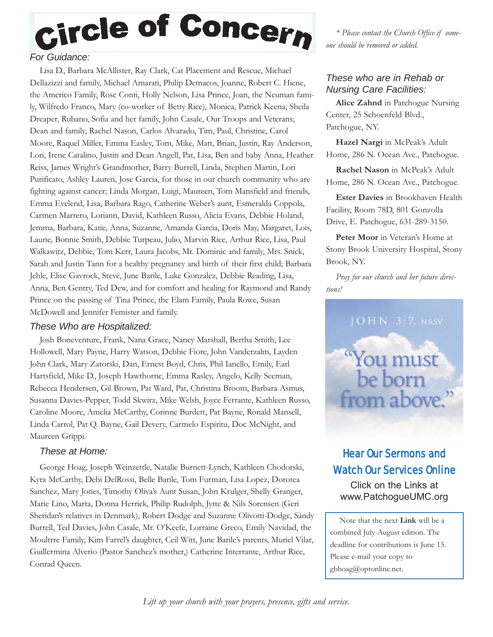

# *For Guidance:*

Lisa D., Barbara McAllister, Ray Clark, Cat Placement and Rescue, Michael Dellazizzi and family, Michael Amarati, Philip Demacos, Joanne, Robert C. Hiene, the Americo Family, Rose Conti, Holly Nelson, Lisa Prince, Joan, the Neuman family, Wilfredo Franco, Mary (co-worker of Betty Rice), Monica, Patrick Keena, Sheila Dreaper, Rubano, Sofia and her family, John Casale, Our Troops and Veterans; Dean and family, Rachel Nason, Carlos Alvarado, Tim, Paul, Christine, Carol Moore, Raquel Miller, Emma Easley, Tom, Mike, Matt, Brian, Justin, Ray Anderson, Lori, Irene Catalino, Justin and Dean Angell, Pat, Lisa, Ben and baby Anna, Heather Reiss, James Wright's Grandmother, Barry Burrell, Linda, Stephen Martin, Lori Purificato, Ashley Lauren, Jose Garcia, for those in our church community who are fighting against cancer; Linda Morgan, Luigi, Maureen, Tom Mansfield and friends, Emma Evelend, Lisa, Barbara Rago, Catherine Weber's aunt, Esmeralda Coppola, Carmen Marrero, Loriann, David, Kathleen Russo, Alicia Evans, Debbie Holand, Jemma, Barbara, Katie, Anna, Suzanne, Amanda Garcia, Doris May, Margaret, Lois, Laurie, Bonnie Smith, Debbie Turpeau, Julio, Marvin Rice, Arthur Rice, Lisa, Paul Walkawitz, Debbie, Tom Kerr, Laura Jacobs, Mr. Dominic and family, Mrs. Snick, Sarah and Justin Tann for a healthy pregnancy and birth of their first child; Barbara Jehle, Elise Gavrock, Steve, June Barile, Luke Gonzalez, Debbie Reading, Lisa, Anna, Ben Gentry, Ted Dew, and for comfort and healing for Raymond and Randy Prince on the passing of Tina Prince, the Elam Family, Paula Rowe, Susan McDowell and Jennifer Femister and family.

### *These Who are Hospitalized:*

Josh Boneventure, Frank, Nana Grace, Nancy Marshall, Bertha Smith, Lee Hollowell, Mary Payne, Harry Watson, Debbie Fiore, John Vanderzalm, Layden John Clark, Mary Zatorski, Dan, Ernest Boyd, Chris, Phil Ianello, Emily, Earl Hartsfield, Mike D., Joseph Hawthorne, Emma Rasley, Angelo, Kelly Seeman, Rebecca Hendersen, Gil Brown, Pat Ward, Pat, Christina Broom, Barbara Asmus, Susanna Davies-Pepper, Todd Skwirz, Mike Welsh, Joyce Ferrante, Kathleen Russo, Caroline Moore, Amelia McCarthy, Corinne Burdett, Pat Bayne, Ronald Mansell, Linda Carrol, Pat Q. Bayne, Gail Devery, Carmelo Espiritu, Doc McNight, and Maureen Grippi.

### *These at Home:*

George Hoag, Joseph Weinzettle, Natalie Burnett-Lynch, Kathleen Chodorski, Kyra McCarthy, Debi DelRossi, Belle Barile, Tom Furman, Lisa Lopez, Dorotea Sanchez, Mary Jones, Timothy Oliva's Aunt Susan, John Krulger, Shelly Granger, Marie Lino, Marta, Donna Herrick, Philip Rudolph, Jytte & Nils Sorensen (Geri Sheridan's relatives in Denmark), Robert Dodge and Suzanne Olivotti-Dodge, Sandy Burrell, Ted Davies, John Casale, Mr. O'Keefe, Lorraine Greco, Emily Navidad, the Moultrre Family, Kim Farrel's daughter, Ceil Witt, June Barile's parents, Muriel Vilar, Guillermina Alverio (Pastor Sanchez's mother,) Catherine Interrante, Arthur Rice, Conrad Queen.

*\* Please contact the Church Office if someone should be removed or added.*

### *These who are in Rehab or Nursing Care Facilities:*

**Alice Zahnd** in Patchogue Nursing Center, 25 Schoenfeld Blvd., Patchogue, NY.

**Hazel Nargi** in McPeak's Adult Home, 286 N. Ocean Ave., Patchogue.

**Rachel Nason** in McPeak's Adult Home, 286 N. Ocean Ave., Patchogue.

**Ester Davies** in Brookhaven Health Facility, Room 78D, 801 Gonzolla Drive, E. Patchogue, 631-289-3150.

Peter Moor in Veteran's Home at Stony Brook University Hospital, Stony Brook, NY.

*Pray for our church and her future directions!*



# Hear Our Sermons and Watch Our Services Online

Click on the Links at www.PatchogueUMC.org

Note that the next **Link** will be a combined July-August edition. The deadline for contributions is June 15. Please e-mail your copy to gbhoag@optonline.net.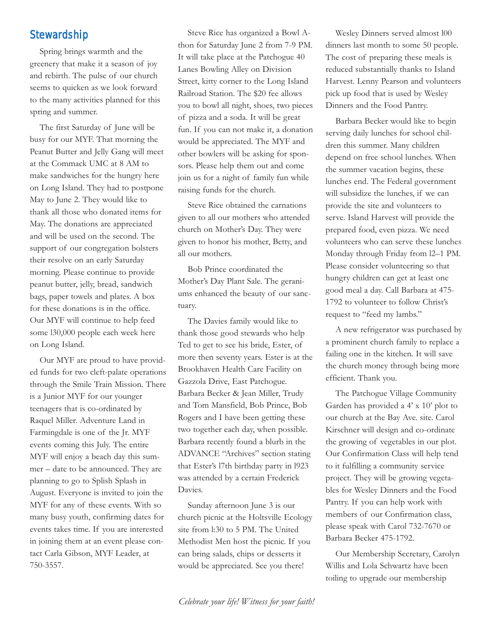# **Stewardship**

Spring brings warmth and the greenery that make it a season of joy and rebirth. The pulse of our church seems to quicken as we look forward to the many activities planned for this spring and summer.

The first Saturday of June will be busy for our MYF. That morning the Peanut Butter and Jelly Gang will meet at the Commack UMC at 8 AM to make sandwiches for the hungry here on Long Island. They had to postpone May to June 2. They would like to thank all those who donated items for May. The donations are appreciated and will be used on the second. The support of our congregation bolsters their resolve on an early Saturday morning. Please continue to provide peanut butter, jelly, bread, sandwich bags, paper towels and plates. A box for these donations is in the office. Our MYF will continue to help feed some l30,000 people each week here on Long Island.

Our MYF are proud to have provided funds for two cleft-palate operations through the Smile Train Mission. There is a Junior MYF for our younger teenagers that is co-ordinated by Raquel Miller. Adventure Land in Farmingdale is one of the Jr. MYF events coming this July. The entire MYF will enjoy a beach day this summer – date to be announced. They are planning to go to Splish Splash in August. Everyone is invited to join the MYF for any of these events. With so many busy youth, confirming dates for events takes time. If you are interested in joining them at an event please contact Carla Gibson, MYF Leader, at 750-3557.

Steve Rice has organized a Bowl Athon for Saturday June 2 from 7-9 PM. It will take place at the Patchogue 40 Lanes Bowling Alley on Division Street, kitty corner to the Long Island Railroad Station. The \$20 fee allows you to bowl all night, shoes, two pieces of pizza and a soda. It will be great fun. If you can not make it, a donation would be appreciated. The MYF and other bowlers will be asking for sponsors. Please help them out and come join us for a night of family fun while raising funds for the church.

Steve Rice obtained the carnations given to all our mothers who attended church on Mother's Day. They were given to honor his mother, Betty, and all our mothers.

Bob Prince coordinated the Mother's Day Plant Sale. The geraniums enhanced the beauty of our sanctuary.

The Davies family would like to thank those good stewards who help Ted to get to see his bride, Ester, of more then seventy years. Ester is at the Brookhaven Health Care Facility on Gazzola Drive, East Patchogue. Barbara Becker & Jean Miller, Trudy and Tom Mansfield, Bob Prince, Bob Rogers and I have been getting these two together each day, when possible. Barbara recently found a blurb in the ADVANCE "Archives" section stating that Ester's l7th birthday party in l923 was attended by a certain Frederick Davies.

Sunday afternoon June 3 is our church picnic at the Holtsville Ecology site from l:30 to 5 PM. The United Methodist Men host the picnic. If you can bring salads, chips or desserts it would be appreciated. See you there!

Wesley Dinners served almost l00 dinners last month to some 50 people. The cost of preparing these meals is reduced substantially thanks to Island Harvest. Lenny Pearson and volunteers pick up food that is used by Wesley Dinners and the Food Pantry.

Barbara Becker would like to begin serving daily lunches for school children this summer. Many children depend on free school lunches. When the summer vacation begins, these lunches end. The Federal government will subsidize the lunches, if we can provide the site and volunteers to serve. Island Harvest will provide the prepared food, even pizza. We need volunteers who can serve these lunches Monday through Friday from l2–1 PM. Please consider volunteering so that hungry children can get at least one good meal a day. Call Barbara at 475- 1792 to volunteer to follow Christ's request to "feed my lambs."

A new refrigerator was purchased by a prominent church family to replace a failing one in the kitchen. It will save the church money through being more efficient. Thank you.

The Patchogue Village Community Garden has provided a 4' x 10' plot to our church at the Bay Ave. site. Carol Kirschner will design and co-ordinate the growing of vegetables in our plot. Our Confirmation Class will help tend to it fulfilling a community service project. They will be growing vegetables for Wesley Dinners and the Food Pantry. If you can help work with members of our Confirmation class, please speak with Carol 732-7670 or Barbara Becker 475-1792.

Our Membership Secretary, Carolyn Willis and Lola Schwartz have been toiling to upgrade our membership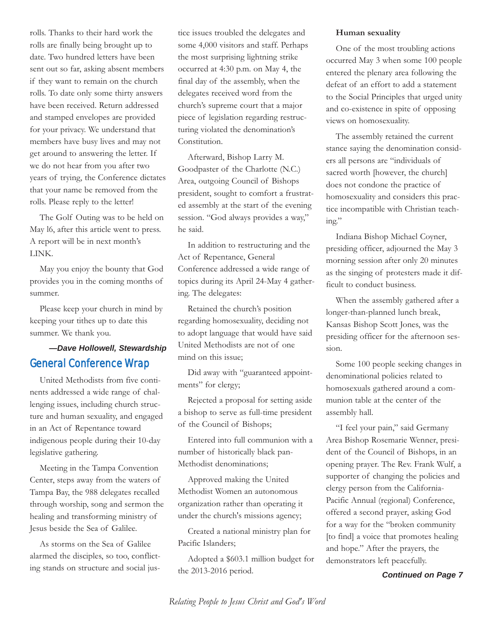rolls. Thanks to their hard work the rolls are finally being brought up to date. Two hundred letters have been sent out so far, asking absent members if they want to remain on the church rolls. To date only some thirty answers have been received. Return addressed and stamped envelopes are provided for your privacy. We understand that members have busy lives and may not get around to answering the letter. If we do not hear from you after two years of trying, the Conference dictates that your name be removed from the rolls. Please reply to the letter!

The Golf Outing was to be held on May l6, after this article went to press. A report will be in next month's LINK.

May you enjoy the bounty that God provides you in the coming months of summer.

Please keep your church in mind by keeping your tithes up to date this summer. We thank you.

# *—Dave Hollowell, Stewardship* General Conference Wrap

United Methodists from five continents addressed a wide range of challenging issues, including church structure and human sexuality, and engaged in an Act of Repentance toward indigenous people during their 10-day legislative gathering.

Meeting in the Tampa Convention Center, steps away from the waters of Tampa Bay, the 988 delegates recalled through worship, song and sermon the healing and transforming ministry of Jesus beside the Sea of Galilee.

As storms on the Sea of Galilee alarmed the disciples, so too, conflicttice issues troubled the delegates and some 4,000 visitors and staff. Perhaps the most surprising lightning strike occurred at 4:30 p.m. on May 4, the final day of the assembly, when the delegates received word from the church's supreme court that a major piece of legislation regarding restructuring violated the denomination's Constitution.

Afterward, Bishop Larry M. Goodpaster of the Charlotte (N.C.) Area, outgoing Council of Bishops president, sought to comfort a frustrated assembly at the start of the evening session. "God always provides a way," he said.

In addition to restructuring and the Act of Repentance, General Conference addressed a wide range of topics during its April 24-May 4 gathering. The delegates:

Retained the church's position regarding homosexuality, deciding not to adopt language that would have said United Methodists are not of one mind on this issue;

Did away with "guaranteed appointments" for clergy;

Rejected a proposal for setting aside a bishop to serve as full-time president of the Council of Bishops;

Entered into full communion with a number of historically black pan-Methodist denominations;

Approved making the United Methodist Women an autonomous organization rather than operating it under the church's missions agency;

Created a national ministry plan for Pacific Islanders;

ing stands on structure and social jus- *Continued on Page 7* Adopted a \$603.1 million budget for the 2013-2016 period.

#### **Human sexuality**

One of the most troubling actions occurred May 3 when some 100 people entered the plenary area following the defeat of an effort to add a statement to the Social Principles that urged unity and co-existence in spite of opposing views on homosexuality.

The assembly retained the current stance saying the denomination considers all persons are "individuals of sacred worth [however, the church] does not condone the practice of homosexuality and considers this practice incompatible with Christian teaching."

Indiana Bishop Michael Coyner, presiding officer, adjourned the May 3 morning session after only 20 minutes as the singing of protesters made it difficult to conduct business.

When the assembly gathered after a longer-than-planned lunch break, Kansas Bishop Scott Jones, was the presiding officer for the afternoon session.

Some 100 people seeking changes in denominational policies related to homosexuals gathered around a communion table at the center of the assembly hall.

"I feel your pain," said Germany Area Bishop Rosemarie Wenner, president of the Council of Bishops, in an opening prayer. The Rev. Frank Wulf, a supporter of changing the policies and clergy person from the California-Pacific Annual (regional) Conference, offered a second prayer, asking God for a way for the "broken community [to find] a voice that promotes healing and hope." After the prayers, the demonstrators left peacefully.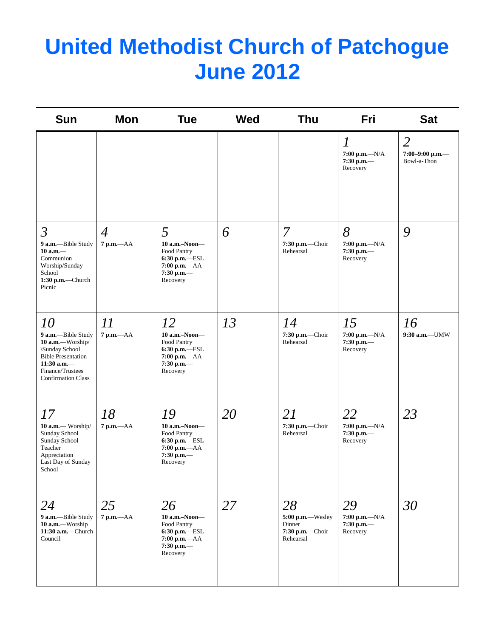# **United Methodist Church of Patchogue June 2012**

| <b>Sun</b>                                                                                                                                                           | Mon                            | <b>Tue</b>                                                                                           | <b>Wed</b> | <b>Thu</b>                                                       | <b>Fri</b>                                                       | <b>Sat</b>                                       |
|----------------------------------------------------------------------------------------------------------------------------------------------------------------------|--------------------------------|------------------------------------------------------------------------------------------------------|------------|------------------------------------------------------------------|------------------------------------------------------------------|--------------------------------------------------|
|                                                                                                                                                                      |                                |                                                                                                      |            |                                                                  | $\boldsymbol{l}$<br>$7:00 p.m. -N/A$<br>$7:30$ p.m.-<br>Recovery | $\overline{2}$<br>7:00-9:00 p.m.-<br>Bowl-a-Thon |
| $\mathfrak{Z}$<br>9 a.m.-Bible Study<br>$10$ a.m. $-$<br>Communion<br>Worship/Sunday<br>School<br>1:30 p.m.-Church<br>Picnic                                         | $\overline{4}$<br>$7 p.m. -AA$ | 5<br>10 a.m.-Noon-<br>Food Pantry<br>6:30 p.m.-ESL<br>7:00 p.m.-AA<br>$7:30$ p.m.-<br>Recovery       | 6          | 7<br>7:30 p.m.-Choir<br>Rehearsal                                | 8<br>$7:00 p.m. -N/A$<br>$7:30$ p.m.-<br>Recovery                | 9                                                |
| <i>10</i><br>9 a.m.-Bible Study<br>10 a.m.-Worship/<br>\Sunday School<br><b>Bible Presentation</b><br>$11:30$ a.m.-<br>Finance/Trustees<br><b>Confirmation Class</b> | 11<br>7 p.m.-- AA              | 12<br>10 a.m.-Noon-<br>Food Pantry<br>6:30 p.m.-ESL<br>7:00 p.m.-AA<br>$7:30$ p.m.-<br>Recovery      | 13         | 14<br>7:30 p.m.-Choir<br>Rehearsal                               | 15<br>7:00 p.m.— $N/A$<br>$7:30$ p.m.-<br>Recovery               | 16<br>9:30 a.m.-UMW                              |
| 17<br>10 a.m.- Worship/<br>Sunday School<br>Sunday School<br>Teacher<br>Appreciation<br>Last Day of Sunday<br>School                                                 | 18<br>7 p.m.-- AA              | 19<br>10 a.m.-Noon-<br>Food Pantry<br>$6:30$ p.m.-ESL<br>$7:00 p.m. -AA$<br>$7:30$ p.m.-<br>Recovery | 20         | 21<br>7:30 p.m.-Choir<br>Rehearsal                               | 22<br>7:00 p.m.— $N/A$<br>$7:30$ p.m.-<br>Recovery               | 23                                               |
| 24<br>9 a.m.-Bible Study<br>10 a.m.-Worship<br>11:30 a.m.-Church<br>Council                                                                                          | 25<br>7 p.m.-- AA              | 26<br>10 a.m.-Noon-<br>Food Pantry<br>6:30 p.m.-ESL<br>7:00 p.m.-- AA<br>$7:30$ p.m.-<br>Recovery    | 27         | 28<br>5:00 p.m.-Wesley<br>Dinner<br>7:30 p.m.-Choir<br>Rehearsal | 29<br>$7:00 p.m. -N/A$<br>$7:30$ p.m.—<br>Recovery               | 30                                               |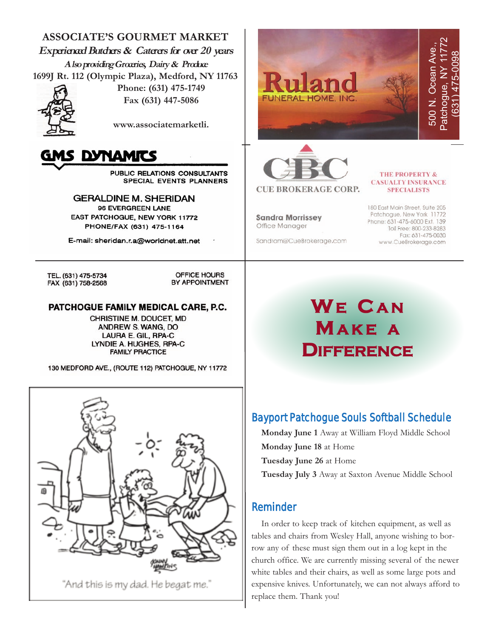**ASSOCIATE'S GOURMET MARKET Experienced Butchers & Caterers for over 20 years Also providing Groceries, Dairy & Produce 1699J Rt. 112 (Olympic Plaza), Medford, NY 11763**



**Phone: (631) 475-1749 Fax (631) 447-5086**

**www.associatemarketli.** 



**PUBLIC RELATIONS CONSULTANTS SPECIAL EVENTS PLANNERS** 

**GERALDINE M. SHERIDAN** 96 EVERGREEN LANE EAST PATCHOGUE, NEW YORK 11772 PHONE/FAX (631) 475-1164

E-mail: sheridan.r.a@worldnet.att.net

TEL. (631) 475-5734 FAX (631) 758-2568

OFFICE HOURS BY APPOINTMENT

### PATCHOGUE FAMILY MEDICAL CARE, P.C.

CHRISTINE M. DOUCET, MD ANDREW S. WANG, DO LAURA E. GIL, RPA-C LYNDIE A. HUGHES, RPA-C **FAMILY PRACTICE** 

130 MEDFORD AVE., (ROUTE 112) PATCHOGUE, NY 11772



"And this is my dad. He begat me."





#### **THE PROPERTY & CASUALTY INSURANCE SPECIALISTS**

**Sandra Morrissey** Office Manager

Sandram@CueBrokerage.com

180 East Main Street, Suite 205 Patchogue, New York 11772 Phone: 631-475-6000 Ext. 139 Toll Free: 800-233-8283 Fax: 631-475-0030 www.CueBrokerage.com

# **WE C A N MA K E A DIFFERENCE**

# Bayport Patchogue Souls Softball Schedule

**Monday June 1** Away at William Floyd Middle School **Monday June 18** at Home **Tuesday June 26** at Home **Tuesday July 3** Away at Saxton Avenue Middle School

### Reminder

In order to keep track of kitchen equipment, as well as tables and chairs from Wesley Hall, anyone wishing to borrow any of these must sign them out in a log kept in the church office. We are currently missing several of the newer white tables and their chairs, as well as some large pots and expensive knives. Unfortunately, we can not always afford to replace them. Thank you!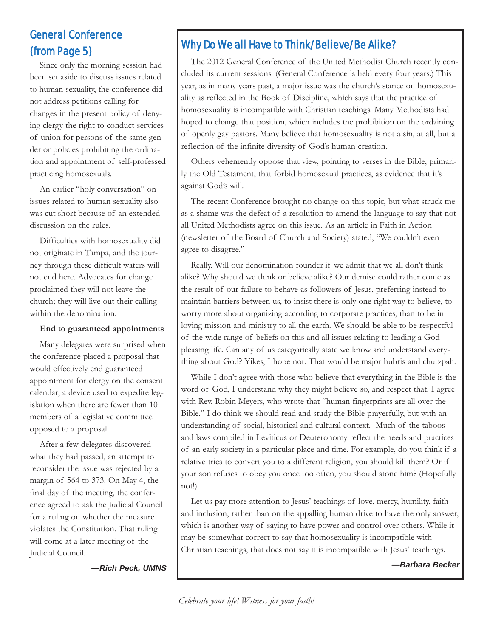# General Conference (from Page 5)

Since only the morning session had been set aside to discuss issues related to human sexuality, the conference did not address petitions calling for changes in the present policy of denying clergy the right to conduct services of union for persons of the same gender or policies prohibiting the ordination and appointment of self-professed practicing homosexuals.

An earlier "holy conversation" on issues related to human sexuality also was cut short because of an extended discussion on the rules.

Difficulties with homosexuality did not originate in Tampa, and the journey through these difficult waters will not end here. Advocates for change proclaimed they will not leave the church; they will live out their calling within the denomination.

### **End to guaranteed appointments**

Many delegates were surprised when the conference placed a proposal that would effectively end guaranteed appointment for clergy on the consent calendar, a device used to expedite legislation when there are fewer than 10 members of a legislative committee opposed to a proposal.

After a few delegates discovered what they had passed, an attempt to reconsider the issue was rejected by a margin of 564 to 373. On May 4, the final day of the meeting, the conference agreed to ask the Judicial Council for a ruling on whether the measure violates the Constitution. That ruling will come at a later meeting of the Judicial Council.

*—Rich Peck, UMNS*

# Why Do We all Have to Think/Believe/Be Alike?

The 2012 General Conference of the United Methodist Church recently concluded its current sessions. (General Conference is held every four years.) This year, as in many years past, a major issue was the church's stance on homosexuality as reflected in the Book of Discipline, which says that the practice of homosexuality is incompatible with Christian teachings. Many Methodists had hoped to change that position, which includes the prohibition on the ordaining of openly gay pastors. Many believe that homosexuality is not a sin, at all, but a reflection of the infinite diversity of God's human creation.

Others vehemently oppose that view, pointing to verses in the Bible, primarily the Old Testament, that forbid homosexual practices, as evidence that it's against God's will.

The recent Conference brought no change on this topic, but what struck me as a shame was the defeat of a resolution to amend the language to say that not all United Methodists agree on this issue. As an article in Faith in Action (newsletter of the Board of Church and Society) stated, "We couldn't even agree to disagree."

Really. Will our denomination founder if we admit that we all don't think alike? Why should we think or believe alike? Our demise could rather come as the result of our failure to behave as followers of Jesus, preferring instead to maintain barriers between us, to insist there is only one right way to believe, to worry more about organizing according to corporate practices, than to be in loving mission and ministry to all the earth. We should be able to be respectful of the wide range of beliefs on this and all issues relating to leading a God pleasing life. Can any of us categorically state we know and understand everything about God? Yikes, I hope not. That would be major hubris and chutzpah.

While I don't agree with those who believe that everything in the Bible is the word of God, I understand why they might believe so, and respect that. I agree with Rev. Robin Meyers, who wrote that "human fingerprints are all over the Bible." I do think we should read and study the Bible prayerfully, but with an understanding of social, historical and cultural context. Much of the taboos and laws compiled in Leviticus or Deuteronomy reflect the needs and practices of an early society in a particular place and time. For example, do you think if a relative tries to convert you to a different religion, you should kill them? Or if your son refuses to obey you once too often, you should stone him? (Hopefully not!)

Let us pay more attention to Jesus' teachings of love, mercy, humility, faith and inclusion, rather than on the appalling human drive to have the only answer, which is another way of saying to have power and control over others. While it may be somewhat correct to say that homosexuality is incompatible with Christian teachings, that does not say it is incompatible with Jesus' teachings.

*—Barbara Becker*